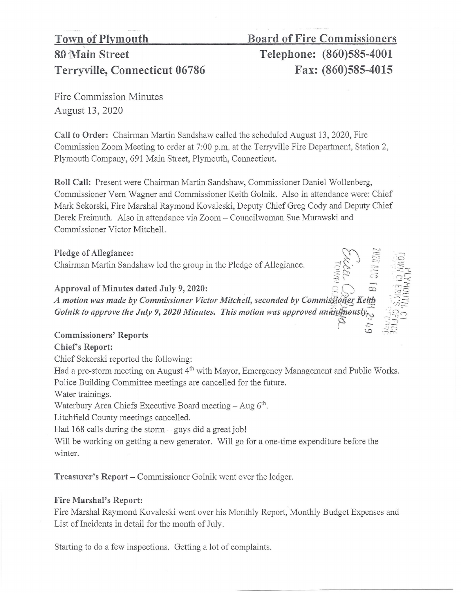# Terryville, Connecticut 06786 Fax: (860)585-4015

## Town of Plymouth Board of Fire Commissioners 80 Main Street Telephone: (860)585-4001

 $=$   $\frac{1}{2}$  $\mathbb{R}$  .  $\mathbb{R}$   $\infty$ ~

 $\vec{z}$  . .

 $\begin{matrix} 7 & 2 \\ 6 & 32 \end{matrix}$ 

 $: \mathbb{R}^2 \times$ 

Fire Commission Minutes August 13, 2020

Call to Order: Chairman Martin Sandshaw called the scheduled August 13, 2020, Fire Commission Zoom Meeting to order at 7:00 p.m. at the Terryville Fire Department, Station 2, Plymouth Company, 691 Main Street, Plymouth, Connecticut.

Roll Call: Present were Chairman Martin Sandshaw, Commissioner Daniel Wollenberg, Commissioner Vern Wagner and Commissioner Keith Golnik. Also in attendance were: Chief Mark Sekorski, Fire Marshal Raymond Kovaleski, Deputy Chief Greg Cody and Deputy Chief Derek Freimuth. Also in attendance via Zoom - Councilwoman Sue Murawski and Commissioner Victor Mitchell.

Pledge of Allegiance: Chairman Martin Sandshaw led the group in the Pledge of Allegiance.

Approval of Minutes dated July 9, 2020:

 $\overline{6}$   $\overline{C}$   $\overline{C}$   $\overline{C}$   $\overline{C}$   $\overline{C}$   $\overline{C}$   $\overline{C}$   $\overline{C}$   $\overline{C}$   $\overline{C}$   $\overline{C}$   $\overline{C}$   $\overline{C}$   $\overline{C}$   $\overline{C}$   $\overline{C}$   $\overline{C}$   $\overline{C}$   $\overline{C}$   $\overline{C}$   $\overline{C}$   $\overline{C}$   $\overline{C}$   $\overline{$ *A motion was made by Commissioner Victor Mitchell, seconded by Commissioner Keith Golnik to approve the July 9, 2020 Minutes. This motion was approved unanthously*,

### Commissioners' Reports

#### Chief's Report:

Chief Sekorski reported the following:

Had a pre-storm meeting on August 4<sup>th</sup> with Mayor, Emergency Management and Public Works. Police Building Committee meetings are cancelled for the future.

Water trainings.

Waterbury Area Chiefs Executive Board meeting  $-$  Aug  $6<sup>th</sup>$ .

Litchfield County meetings cancelled.

Had  $168$  calls during the storm  $-$  guys did a great job!

Will be working on getting a new generator. Will go for a one-time expenditure before the winter.

Treasurer's Report – Commissioner Golnik went over the ledger.

#### Fire Marshal's Report:

Fire Marshal Raymond Kovaleski went over his Monthly Report, Monthly Budget Expenses and List of Incidents in detail for the month of July.

Starting to do a few inspections. Getting a lot of complaints.